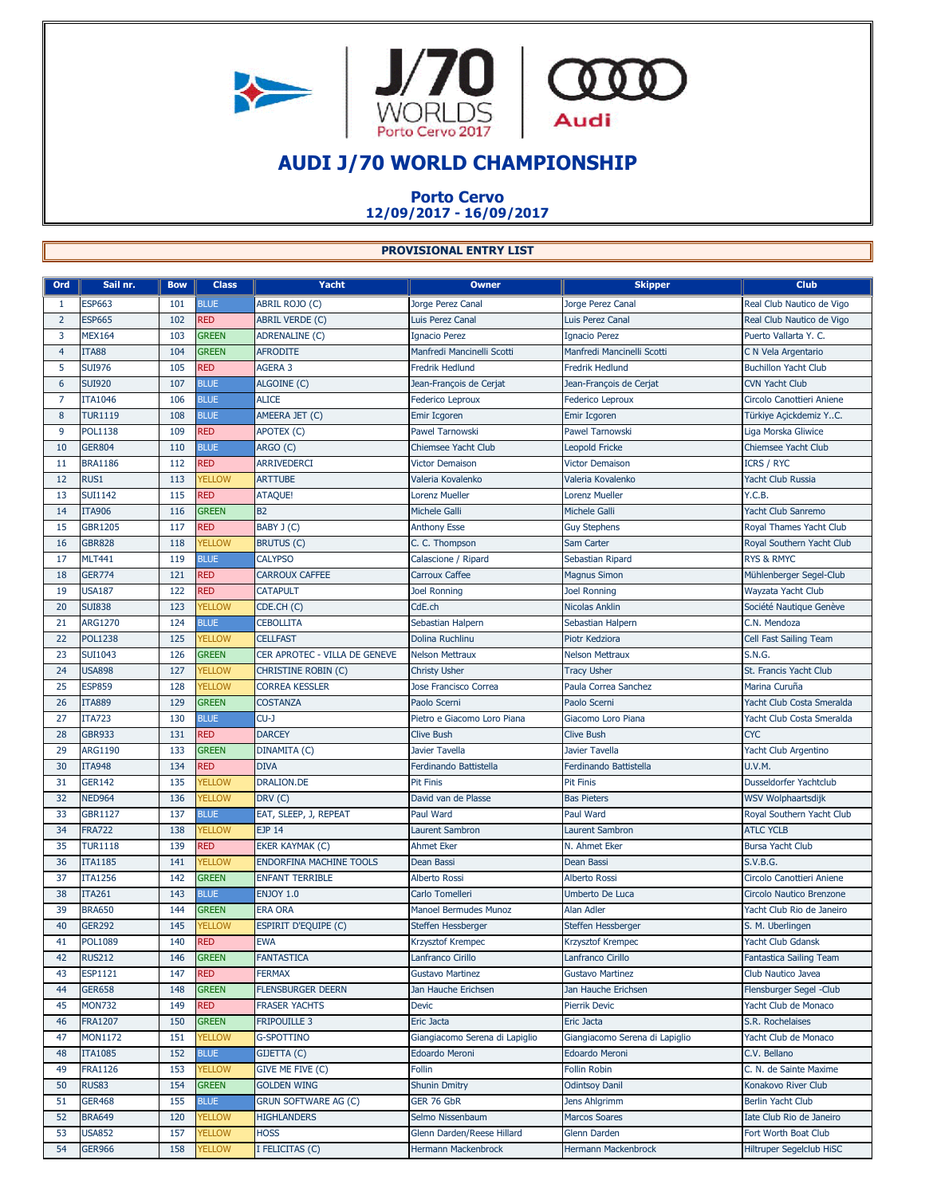



## **AUDI J/70 WORLD CHAMPIONSHIP**

## **Porto Cervo 12/09/2017 - 16/09/2017**

## **PROVISIONAL ENTRY LIST**

| Ord            | Sail nr.       | <b>Bow</b> | <b>Class</b>  | Yacht                          | <b>Owner</b>                   | <b>Skipper</b>                 | <b>Club</b>                 |
|----------------|----------------|------------|---------------|--------------------------------|--------------------------------|--------------------------------|-----------------------------|
| 1              | <b>ESP663</b>  | 101        | <b>BLUE</b>   | ABRIL ROJO (C)                 | Jorge Perez Canal              | Jorge Perez Canal              | Real Club Nautico de Vigo   |
| $\overline{2}$ | <b>ESP665</b>  | 102        | <b>RED</b>    | <b>ABRIL VERDE (C)</b>         | Luis Perez Canal               | Luis Perez Canal               | Real Club Nautico de Vigo   |
| 3              | <b>MEX164</b>  | 103        | <b>GREEN</b>  | <b>ADRENALINE (C)</b>          | Ignacio Perez                  | <b>Ignacio Perez</b>           | Puerto Vallarta Y. C.       |
| 4              | <b>ITA88</b>   | 104        | <b>GREEN</b>  | <b>AFRODITE</b>                | Manfredi Mancinelli Scotti     | Manfredi Mancinelli Scotti     | C N Vela Argentario         |
| 5              | <b>SUI976</b>  | 105        | <b>RED</b>    | AGERA 3                        | Fredrik Hedlund                | <b>Fredrik Hedlund</b>         | <b>Buchillon Yacht Club</b> |
| 6              | <b>SUI920</b>  | 107        | <b>BLUE</b>   | ALGOINE (C)                    | Jean-François de Cerjat        | Jean-François de Cerjat        | <b>CVN Yacht Club</b>       |
| 7              | <b>ITA1046</b> | 106        | <b>BLUE</b>   | <b>ALICE</b>                   | Federico Leproux               | <b>Federico Leproux</b>        | Circolo Canottieri Aniene   |
| 8              | <b>TUR1119</b> | 108        | <b>BLUE</b>   | AMEERA JET (C)                 | Emir Icgoren                   | Emir Icgoren                   | Türkiye Açickdemiz YC.      |
| 9              | <b>POL1138</b> | 109        | <b>RED</b>    | APOTEX (C)                     | <b>Pawel Tarnowski</b>         | <b>Pawel Tarnowski</b>         | Liga Morska Gliwice         |
| 10             | <b>GER804</b>  | 110        | <b>BLUE</b>   | ARGO (C)                       | <b>Chiemsee Yacht Club</b>     | <b>Leopold Fricke</b>          | Chiemsee Yacht Club         |
| 11             | <b>BRA1186</b> | 112        | <b>RED</b>    | <b>ARRIVEDERCI</b>             | <b>Victor Demaison</b>         | <b>Victor Demaison</b>         | <b>ICRS / RYC</b>           |
| 12             | RUS1           | 113        | <b>YELLOW</b> | <b>ARTTUBE</b>                 | Valeria Kovalenko              | Valeria Kovalenko              | Yacht Club Russia           |
| 13             | <b>SUI1142</b> | 115        | <b>RED</b>    | <b>ATAQUE!</b>                 | Lorenz Mueller                 | <b>Lorenz Mueller</b>          | Y.C.B.                      |
| 14             | <b>ITA906</b>  | 116        | <b>GREEN</b>  | B <sub>2</sub>                 | Michele Galli                  | <b>Michele Galli</b>           | Yacht Club Sanremo          |
| 15             | <b>GBR1205</b> | 117        | <b>RED</b>    | BABY J (C)                     | <b>Anthony Esse</b>            | <b>Guy Stephens</b>            | Royal Thames Yacht Club     |
| 16             | <b>GBR828</b>  | 118        | <b>YELLOW</b> | <b>BRUTUS (C)</b>              | C. C. Thompson                 | Sam Carter                     | Royal Southern Yacht Club   |
| 17             | <b>MLT441</b>  | 119        | <b>BLUE</b>   | <b>CALYPSO</b>                 | Calascione / Ripard            | Sebastian Ripard               | <b>RYS &amp; RMYC</b>       |
| 18             | <b>GER774</b>  | 121        | <b>RED</b>    | <b>CARROUX CAFFEE</b>          | Carroux Caffee                 | <b>Magnus Simon</b>            | Mühlenberger Segel-Club     |
| 19             | <b>USA187</b>  | 122        | <b>RED</b>    | <b>CATAPULT</b>                | <b>Joel Ronning</b>            | <b>Joel Ronning</b>            | Wayzata Yacht Club          |
| 20             | <b>SUI838</b>  | 123        | <b>YELLOW</b> | CDE.CH (C)                     | CdE.ch                         | <b>Nicolas Anklin</b>          | Société Nautique Genève     |
| 21             | <b>ARG1270</b> | 124        | <b>BLUE</b>   | CEBOLLITA                      | Sebastian Halpern              | Sebastian Halpern              | C.N. Mendoza                |
| 22             | <b>POL1238</b> | 125        | <b>YELLOW</b> | <b>CELLFAST</b>                | Dolina Ruchlinu                | Piotr Kedziora                 | Cell Fast Sailing Team      |
| 23             | <b>SUI1043</b> | 126        | <b>GREEN</b>  | CER APROTEC - VILLA DE GENEVE  | <b>Nelson Mettraux</b>         | <b>Nelson Mettraux</b>         | <b>S.N.G.</b>               |
| 24             | <b>USA898</b>  | 127        | <b>YELLOW</b> | <b>CHRISTINE ROBIN (C)</b>     | <b>Christy Usher</b>           | <b>Tracy Usher</b>             | St. Francis Yacht Club      |
| 25             | <b>ESP859</b>  | 128        | <b>YELLOW</b> | <b>CORREA KESSLER</b>          | Jose Francisco Correa          | Paula Correa Sanchez           | Marina Curuña               |
| 26             | <b>ITA889</b>  | 129        | <b>GREEN</b>  | <b>COSTANZA</b>                | Paolo Scerni                   | Paolo Scerni                   | Yacht Club Costa Smeralda   |
| 27             | <b>ITA723</b>  | 130        | <b>BLUE</b>   | CU-J                           | Pietro e Giacomo Loro Piana    | Giacomo Loro Piana             | Yacht Club Costa Smeralda   |
| 28             | <b>GBR933</b>  | 131        | <b>RED</b>    | <b>DARCEY</b>                  | <b>Clive Bush</b>              | <b>Clive Bush</b>              | <b>CYC</b>                  |
| 29             | <b>ARG1190</b> | 133        | <b>GREEN</b>  | DINAMITA (C)                   | Javier Tavella                 | Javier Tavella                 | Yacht Club Argentino        |
| 30             | <b>ITA948</b>  | 134        | <b>RED</b>    | <b>DIVA</b>                    | Ferdinando Battistella         | Ferdinando Battistella         | <b>U.V.M.</b>               |
| 31             | <b>GER142</b>  | 135        | <b>YELLOW</b> | <b>DRALION.DE</b>              | <b>Pit Finis</b>               | Pit Finis                      | Dusseldorfer Yachtclub      |
| 32             | <b>NED964</b>  | 136        | <b>YELLOW</b> | DRV(C)                         | David van de Plasse            | <b>Bas Pieters</b>             | WSV Wolphaartsdijk          |
| 33             | <b>GBR1127</b> | 137        | <b>BLUE</b>   | EAT, SLEEP, J, REPEAT          | Paul Ward                      | Paul Ward                      | Royal Southern Yacht Club   |
| 34             | <b>FRA722</b>  | 138        | <b>YELLOW</b> | <b>EJP 14</b>                  | <b>Laurent Sambron</b>         | <b>Laurent Sambron</b>         | <b>ATLC YCLB</b>            |
| 35             | <b>TUR1118</b> | 139        | <b>RED</b>    | EKER KAYMAK (C)                | <b>Ahmet Eker</b>              | N. Ahmet Eker                  | <b>Bursa Yacht Club</b>     |
| 36             | <b>ITA1185</b> | 141        | <b>YELLOW</b> | <b>ENDORFINA MACHINE TOOLS</b> | Dean Bassi                     | Dean Bassi                     | S.V.B.G.                    |
| 37             | <b>ITA1256</b> | 142        | <b>GREEN</b>  | <b>ENFANT TERRIBLE</b>         | <b>Alberto Rossi</b>           | <b>Alberto Rossi</b>           | Circolo Canottieri Aniene   |
| 38             | <b>ITA261</b>  | 143        | <b>BLUE</b>   | <b>ENJOY 1.0</b>               | Carlo Tomelleri                | Umberto De Luca                | Circolo Nautico Brenzone    |
| 39             | <b>BRA650</b>  | 144        | <b>GREEN</b>  | <b>ERA ORA</b>                 | Manoel Bermudes Munoz          | <b>Alan Adler</b>              | Yacht Club Rio de Janeiro   |
| 40             | <b>GER292</b>  | 145        | <b>YELLOW</b> | <b>ESPIRIT D'EQUIPE (C)</b>    | Steffen Hessberger             | Steffen Hessberger             | S. M. Uberlingen            |
| 41             | <b>POL1089</b> | 140        | <b>RED</b>    | <b>EWA</b>                     | Krzysztof Krempec              | Krzysztof Krempec              | Yacht Club Gdansk           |
| 42             | <b>RUS212</b>  | 146        | <b>GREEN</b>  | <b>FANTASTICA</b>              | Lanfranco Cirillo              | Lanfranco Cirillo              | Fantastica Sailing Team     |
| 43             | ESP1121        | 147        | <b>RED</b>    | <b>FERMAX</b>                  | <b>Gustavo Martinez</b>        | <b>Gustavo Martinez</b>        | Club Nautico Javea          |
| 44             | <b>GER658</b>  | 148        | <b>GREEN</b>  | <b>FLENSBURGER DEERN</b>       | Jan Hauche Erichsen            | Jan Hauche Erichsen            | Flensburger Segel -Club     |
| 45             | <b>MON732</b>  | 149        | <b>RED</b>    | <b>FRASER YACHTS</b>           | Devic                          | Pierrik Devic                  | Yacht Club de Monaco        |
| 46             | <b>FRA1207</b> | 150        | <b>GREEN</b>  | <b>FRIPOUILLE 3</b>            | Eric Jacta                     | Eric Jacta                     | S.R. Rochelaises            |
| 47             | MON1172        | 151        | <b>YELLOW</b> | <b>G-SPOTTINO</b>              | Giangiacomo Serena di Lapiglio | Giangiacomo Serena di Lapiglio | Yacht Club de Monaco        |
| 48             | <b>ITA1085</b> | 152        | <b>BLUE</b>   | GIJETTA (C)                    | Edoardo Meroni                 | Edoardo Meroni                 | C.V. Bellano                |
| 49             | <b>FRA1126</b> | 153        | <b>YELLOW</b> | GIVE ME FIVE (C)               | Follin                         | <b>Follin Robin</b>            | C. N. de Sainte Maxime      |
| 50             | <b>RUS83</b>   | 154        | <b>GREEN</b>  | <b>GOLDEN WING</b>             | <b>Shunin Dmitry</b>           | <b>Odintsoy Danil</b>          | Konakovo River Club         |
| 51             | <b>GER468</b>  | 155        | <b>BLUE</b>   | <b>GRUN SOFTWARE AG (C)</b>    | GER 76 GbR                     | Jens Ahlgrimm                  | <b>Berlin Yacht Club</b>    |
| 52             | <b>BRA649</b>  | 120        | <b>YELLOW</b> | <b>HIGHLANDERS</b>             | Selmo Nissenbaum               | <b>Marcos Soares</b>           | Iate Club Rio de Janeiro    |
| 53             | <b>USA852</b>  | 157        | <b>YELLOW</b> | <b>HOSS</b>                    | Glenn Darden/Reese Hillard     | Glenn Darden                   | Fort Worth Boat Club        |
| 54             | <b>GER966</b>  | 158        | <b>YELLOW</b> | I FELICITAS (C)                | Hermann Mackenbrock            | Hermann Mackenbrock            | Hiltruper Segelclub HiSC    |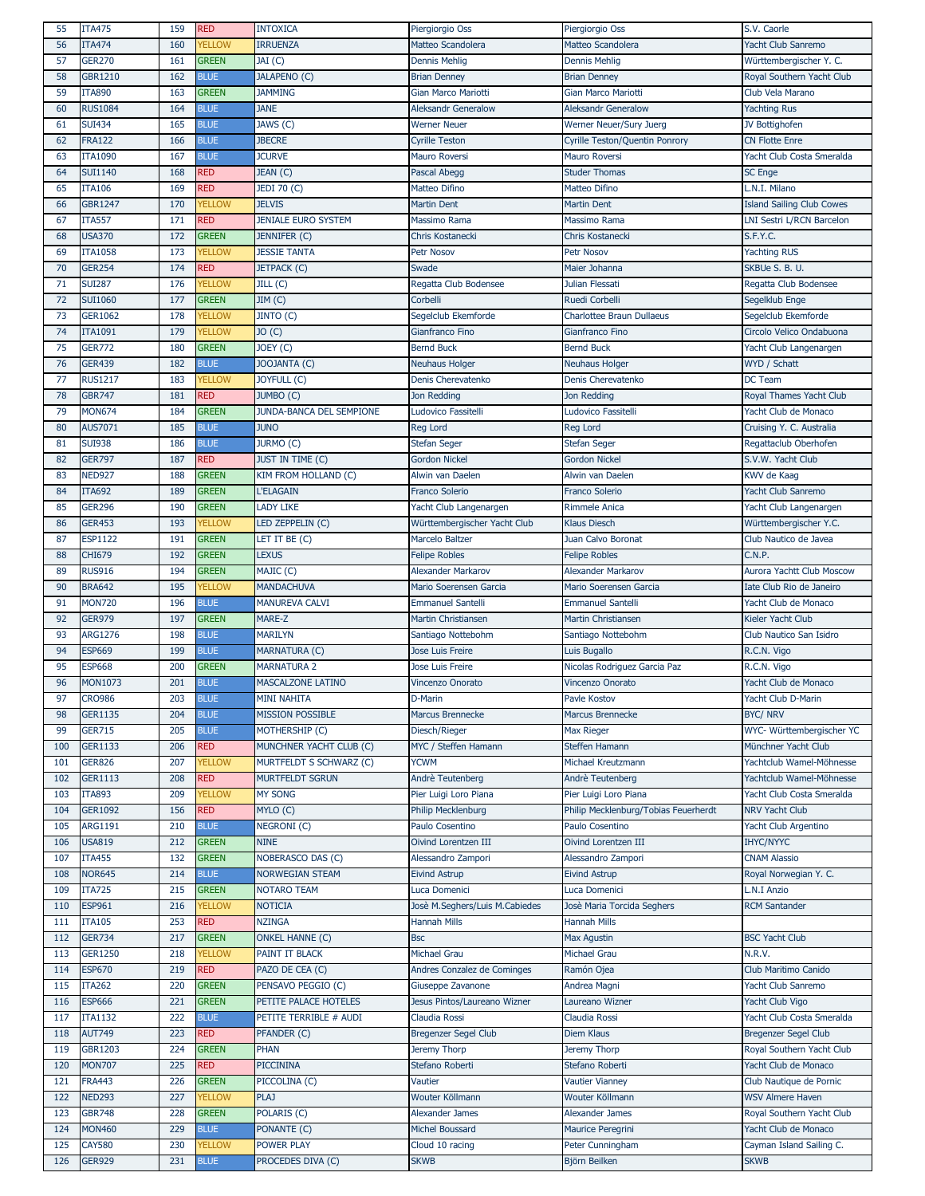| 55  | <b>ITA475</b>  | 159 | <b>RED</b>    | <b>INTOXICA</b>            | Piergiorgio Oss                | Piergiorgio Oss                      | S.V. Caorle                      |
|-----|----------------|-----|---------------|----------------------------|--------------------------------|--------------------------------------|----------------------------------|
| 56  | <b>ITA474</b>  | 160 | <b>YELLOW</b> | <b>IRRUENZA</b>            | Matteo Scandolera              | Matteo Scandolera                    | Yacht Club Sanremo               |
| 57  | <b>GER270</b>  | 161 | <b>GREEN</b>  | JAI (C)                    | <b>Dennis Mehlig</b>           | <b>Dennis Mehlig</b>                 | Württembergischer Y. C.          |
|     |                |     |               |                            |                                |                                      |                                  |
| 58  | <b>GBR1210</b> | 162 | <b>BLUE</b>   | <b>JALAPENO (C)</b>        | <b>Brian Denney</b>            | <b>Brian Denney</b>                  | Royal Southern Yacht Club        |
| 59  | <b>ITA890</b>  | 163 | <b>GREEN</b>  | <b>JAMMING</b>             | Gian Marco Mariotti            | Gian Marco Mariotti                  | Club Vela Marano                 |
| 60  | <b>RUS1084</b> | 164 | <b>BLUE</b>   | <b>JANE</b>                | <b>Aleksandr Generalow</b>     | <b>Aleksandr Generalow</b>           | <b>Yachting Rus</b>              |
| 61  | <b>SUI434</b>  | 165 | <b>BLUE</b>   | JAWS (C)                   | <b>Werner Neuer</b>            | Werner Neuer/Sury Juerg              | JV Bottighofen                   |
| 62  | <b>FRA122</b>  | 166 | <b>BLUE</b>   | <b>JBECRE</b>              | <b>Cyrille Teston</b>          | Cyrille Teston/Quentin Ponrory       | <b>CN Flotte Enre</b>            |
|     | <b>ITA1090</b> | 167 | <b>BLUE</b>   | <b>JCURVE</b>              |                                |                                      |                                  |
| 63  |                |     |               |                            | Mauro Roversi                  | Mauro Roversi                        | Yacht Club Costa Smeralda        |
| 64  | <b>SUI1140</b> | 168 | <b>RED</b>    | JEAN (C)                   | Pascal Abegg                   | <b>Studer Thomas</b>                 | <b>SC Enge</b>                   |
| 65  | <b>ITA106</b>  | 169 | <b>RED</b>    | JEDI 70 (C)                | Matteo Difino                  | Matteo Difino                        | L.N.I. Milano                    |
| 66  | <b>GBR1247</b> | 170 | <b>YELLOW</b> | <b>JELVIS</b>              | <b>Martin Dent</b>             | <b>Martin Dent</b>                   | <b>Island Sailing Club Cowes</b> |
| 67  | <b>ITA557</b>  | 171 | <b>RED</b>    | <b>JENIALE EURO SYSTEM</b> | Massimo Rama                   | Massimo Rama                         | LNI Sestri L/RCN Barcelon        |
|     |                |     |               |                            |                                |                                      |                                  |
| 68  | <b>USA370</b>  | 172 | <b>GREEN</b>  | JENNIFER (C)               | <b>Chris Kostanecki</b>        | Chris Kostanecki                     | S.F.Y.C.                         |
| 69  | <b>ITA1058</b> | 173 | <b>YELLOW</b> | <b>JESSIE TANTA</b>        | Petr Nosov                     | Petr Nosov                           | <b>Yachting RUS</b>              |
| 70  | <b>GER254</b>  | 174 | <b>RED</b>    | <b>JETPACK (C)</b>         | Swade                          | Maier Johanna                        | SKBUe S. B. U.                   |
| 71  | <b>SUI287</b>  | 176 | <b>YELLOW</b> | JILL(C)                    | Regatta Club Bodensee          | Julian Flessati                      | Regatta Club Bodensee            |
| 72  | <b>SUI1060</b> | 177 | <b>GREEN</b>  | JIM(C)                     | Corbelli                       | <b>Ruedi Corbelli</b>                |                                  |
|     |                |     |               |                            |                                |                                      | Segelklub Enge                   |
| 73  | <b>GER1062</b> | 178 | <b>YELLOW</b> | JINTO (C)                  | Segelclub Ekemforde            | <b>Charlottee Braun Dullaeus</b>     | Segelclub Ekemforde              |
| 74  | <b>ITA1091</b> | 179 | <b>YELLOW</b> | JO(C)                      | Gianfranco Fino                | Gianfranco Fino                      | Circolo Velico Ondabuona         |
| 75  | <b>GER772</b>  | 180 | <b>GREEN</b>  | JOEY (C)                   | <b>Bernd Buck</b>              | <b>Bernd Buck</b>                    | Yacht Club Langenargen           |
| 76  | <b>GER439</b>  | 182 | <b>BLUE</b>   | JOOJANTA (C)               | <b>Neuhaus Holger</b>          | <b>Neuhaus Holger</b>                | WYD / Schatt                     |
|     |                |     |               |                            |                                |                                      |                                  |
| 77  | <b>RUS1217</b> | 183 | <b>YELLOW</b> | JOYFULL (C)                | Denis Cherevatenko             | Denis Cherevatenko                   | DC Team                          |
| 78  | <b>GBR747</b>  | 181 | <b>RED</b>    | JUMBO (C)                  | Jon Redding                    | Jon Redding                          | Royal Thames Yacht Club          |
| 79  | <b>MON674</b>  | 184 | <b>GREEN</b>  | JUNDA-BANCA DEL SEMPIONE   | Ludovico Fassitelli            | Ludovico Fassitelli                  | Yacht Club de Monaco             |
| 80  | AUS7071        | 185 | <b>BLUE</b>   | <b>JUNO</b>                | <b>Reg Lord</b>                | <b>Reg Lord</b>                      | Cruising Y. C. Australia         |
| 81  | <b>SUI938</b>  | 186 | <b>BLUE</b>   | JURMO (C)                  |                                | <b>Stefan Seger</b>                  | Regattaclub Oberhofen            |
|     |                |     |               |                            | <b>Stefan Seger</b>            |                                      |                                  |
| 82  | <b>GER797</b>  | 187 | <b>RED</b>    | <b>JUST IN TIME (C)</b>    | <b>Gordon Nickel</b>           | <b>Gordon Nickel</b>                 | S.V.W. Yacht Club                |
| 83  | <b>NED927</b>  | 188 | <b>GREEN</b>  | KIM FROM HOLLAND (C)       | Alwin van Daelen               | Alwin van Daelen                     | KWV de Kaag                      |
| 84  | <b>ITA692</b>  | 189 | <b>GREEN</b>  | L'ELAGAIN                  | Franco Solerio                 | <b>Franco Solerio</b>                | Yacht Club Sanremo               |
| 85  | <b>GER296</b>  | 190 | <b>GREEN</b>  | <b>LADY LIKE</b>           | Yacht Club Langenargen         | Rimmele Anica                        | Yacht Club Langenargen           |
|     |                |     |               |                            |                                |                                      |                                  |
| 86  | <b>GER453</b>  | 193 | <b>YELLOW</b> | LED ZEPPELIN (C)           | Württembergischer Yacht Club   | <b>Klaus Diesch</b>                  | Württembergischer Y.C.           |
| 87  | <b>ESP1122</b> | 191 | <b>GREEN</b>  | LET IT BE (C)              | Marcelo Baltzer                | Juan Calvo Boronat                   | Club Nautico de Javea            |
| 88  | <b>CHI679</b>  | 192 | <b>GREEN</b>  | <b>LEXUS</b>               | <b>Felipe Robles</b>           | <b>Felipe Robles</b>                 | C.N.P.                           |
| 89  | <b>RUS916</b>  | 194 | <b>GREEN</b>  | MAJIC (C)                  | Alexander Markarov             | <b>Alexander Markarov</b>            | Aurora Yachtt Club Moscow        |
|     |                |     |               |                            |                                |                                      |                                  |
| 90  | <b>BRA642</b>  | 195 | <b>YELLOW</b> | <b>MANDACHUVA</b>          | Mario Soerensen Garcia         | Mario Soerensen Garcia               | Iate Club Rio de Janeiro         |
|     |                |     |               |                            |                                |                                      |                                  |
| 91  | <b>MON720</b>  | 196 | <b>BLUE</b>   | <b>MANUREVA CALVI</b>      | <b>Emmanuel Santelli</b>       | <b>Emmanuel Santelli</b>             | Yacht Club de Monaco             |
| 92  | <b>GER979</b>  | 197 | <b>GREEN</b>  | MARE-Z                     | Martin Christiansen            | Martin Christiansen                  | Kieler Yacht Club                |
| 93  | <b>ARG1276</b> | 198 | <b>BLUE</b>   | <b>MARILYN</b>             |                                |                                      | Club Nautico San Isidro          |
|     |                |     |               |                            | Santiago Nottebohm             | Santiago Nottebohm                   |                                  |
| 94  | <b>ESP669</b>  | 199 | <b>BLUE</b>   | MARNATURA (C)              | Jose Luis Freire               | Luis Bugallo                         | R.C.N. Vigo                      |
| 95  | <b>ESP668</b>  | 200 | <b>GREEN</b>  | <b>MARNATURA 2</b>         | <b>Jose Luis Freire</b>        | Nicolas Rodriguez Garcia Paz         | R.C.N. Vigo                      |
| 96  | <b>MON1073</b> | 201 | <b>BLUE</b>   | <b>MASCALZONE LATINO</b>   | Vincenzo Onorato               | <b>Vincenzo Onorato</b>              | Yacht Club de Monaco             |
| 97  | <b>CRO986</b>  | 203 | <b>BLUE</b>   | <b>MINI NAHITA</b>         | D-Marin                        | Pavle Kostov                         | Yacht Club D-Marin               |
|     |                |     |               |                            |                                |                                      | <b>BYC/ NRV</b>                  |
| 98  | <b>GER1135</b> | 204 | <b>BLUE</b>   | <b>MISSION POSSIBLE</b>    | Marcus Brennecke               | <b>Marcus Brennecke</b>              |                                  |
| 99  | <b>GER715</b>  | 205 | <b>BLUE</b>   | Mothership (C)             | Diesch/Rieger                  | <b>Max Rieger</b>                    | WYC- Württembergischer YC        |
| 100 | <b>GER1133</b> | 206 | <b>RED</b>    | MUNCHNER YACHT CLUB (C)    | MYC / Steffen Hamann           | Steffen Hamann                       | Münchner Yacht Club              |
| 101 | <b>GER826</b>  | 207 | <b>YELLOW</b> | MURTFELDT S SCHWARZ (C)    | <b>YCWM</b>                    | Michael Kreutzmann                   | Yachtclub Wamel-Möhnesse         |
| 102 | <b>GER1113</b> | 208 | <b>RED</b>    | MURTFELDT SGRUN            | Andrè Teutenberg               | Andrè Teutenberg                     | Yachtclub Wamel-Möhnesse         |
|     |                |     |               |                            |                                |                                      |                                  |
| 103 | <b>ITA893</b>  | 209 | <b>YELLOW</b> | <b>MY SONG</b>             | Pier Luigi Loro Piana          | Pier Luigi Loro Piana                | Yacht Club Costa Smeralda        |
| 104 | GER1092        | 156 | <b>RED</b>    | MYLO (C)                   | <b>Philip Mecklenburg</b>      | Philip Mecklenburg/Tobias Feuerherdt | <b>NRV Yacht Club</b>            |
| 105 | <b>ARG1191</b> | 210 | <b>BLUE</b>   | NEGRONI(C)                 | Paulo Cosentino                | Paulo Cosentino                      | Yacht Club Argentino             |
| 106 | <b>USA819</b>  | 212 | <b>GREEN</b>  | <b>NINE</b>                | Oivind Lorentzen III           | Oivind Lorentzen III                 | <b>IHYC/NYYC</b>                 |
| 107 | <b>ITA455</b>  | 132 | <b>GREEN</b>  | NOBERASCO DAS (C)          | Alessandro Zampori             | Alessandro Zampori                   | <b>CNAM Alassio</b>              |
|     |                |     |               |                            |                                |                                      |                                  |
| 108 | <b>NOR645</b>  | 214 | <b>BLUE</b>   | <b>NORWEGIAN STEAM</b>     | <b>Eivind Astrup</b>           | <b>Eivind Astrup</b>                 | Royal Norwegian Y. C.            |
| 109 | <b>ITA725</b>  | 215 | <b>GREEN</b>  | <b>NOTARO TEAM</b>         | Luca Domenici                  | Luca Domenici                        | L.N.I Anzio                      |
| 110 | <b>ESP961</b>  | 216 | <b>YELLOW</b> | <b>NOTICIA</b>             | Josè M.Seghers/Luis M.Cabiedes | Josè Maria Torcida Seghers           | <b>RCM Santander</b>             |
| 111 | <b>ITA105</b>  | 253 | <b>RED</b>    | <b>NZINGA</b>              | <b>Hannah Mills</b>            | <b>Hannah Mills</b>                  |                                  |
|     |                |     |               |                            |                                |                                      |                                  |
| 112 | <b>GER734</b>  | 217 | <b>GREEN</b>  | <b>ONKEL HANNE (C)</b>     | <b>Bsc</b>                     | <b>Max Agustin</b>                   | <b>BSC Yacht Club</b>            |
| 113 | <b>GER1250</b> | 218 | <b>YELLOW</b> | PAINT IT BLACK             | Michael Grau                   | Michael Grau                         | N.R.V.                           |
| 114 | <b>ESP670</b>  | 219 | <b>RED</b>    | PAZO DE CEA (C)            | Andres Conzalez de Cominges    | Ramón Ojea                           | Club Maritimo Canido             |
| 115 | <b>ITA262</b>  | 220 | <b>GREEN</b>  | PENSAVO PEGGIO (C)         | Giuseppe Zavanone              | Andrea Magni                         | Yacht Club Sanremo               |
| 116 | <b>ESP666</b>  | 221 | <b>GREEN</b>  | PETITE PALACE HOTELES      | Jesus Pintos/Laureano Wizner   | Laureano Wizner                      | Yacht Club Vigo                  |
|     |                |     |               |                            |                                |                                      |                                  |
| 117 | <b>ITA1132</b> | 222 | <b>BLUE</b>   | PETITE TERRIBLE # AUDI     | Claudia Rossi                  | Claudia Rossi                        | Yacht Club Costa Smeralda        |
| 118 | <b>AUT749</b>  | 223 | <b>RED</b>    | PFANDER (C)                | Bregenzer Segel Club           | <b>Diem Klaus</b>                    | <b>Bregenzer Segel Club</b>      |
| 119 | <b>GBR1203</b> | 224 | <b>GREEN</b>  | PHAN                       | Jeremy Thorp                   | Jeremy Thorp                         | Royal Southern Yacht Club        |
| 120 | <b>MON707</b>  | 225 | <b>RED</b>    | <b>PICCININA</b>           | Stefano Roberti                | Stefano Roberti                      | Yacht Club de Monaco             |
| 121 | <b>FRA443</b>  | 226 | <b>GREEN</b>  | PICCOLINA (C)              | Vautier                        | <b>Vautier Vianney</b>               | Club Nautique de Pornic          |
|     |                |     |               |                            |                                |                                      |                                  |
| 122 | <b>NED293</b>  | 227 | <b>YELLOW</b> | <b>PLAJ</b>                | Wouter Köllmann                | Wouter Köllmann                      | <b>WSV Almere Haven</b>          |
| 123 | <b>GBR748</b>  | 228 | <b>GREEN</b>  | POLARIS (C)                | <b>Alexander James</b>         | <b>Alexander James</b>               | Royal Southern Yacht Club        |
| 124 | MON460         | 229 | <b>BLUE</b>   | PONANTE (C)                | Michel Boussard                | Maurice Peregrini                    | Yacht Club de Monaco             |
| 125 | <b>CAY580</b>  | 230 | <b>YELLOW</b> | POWER PLAY                 | Cloud 10 racing                | Peter Cunningham                     | Cayman Island Sailing C.         |
| 126 | <b>GER929</b>  | 231 | <b>BLUE</b>   | PROCEDES DIVA (C)          | <b>SKWB</b>                    | Björn Beilken                        | <b>SKWB</b>                      |